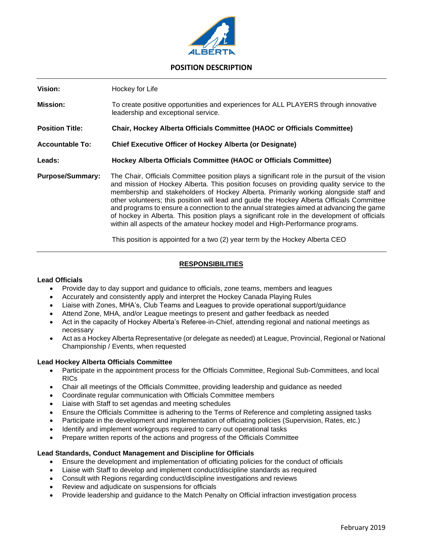

# **POSITION DESCRIPTION**

| Vision:                 | Hockey for Life                                                                                                                                                                                                                                                                                                                                                                                                                                                                                                                                                                                                                                              |
|-------------------------|--------------------------------------------------------------------------------------------------------------------------------------------------------------------------------------------------------------------------------------------------------------------------------------------------------------------------------------------------------------------------------------------------------------------------------------------------------------------------------------------------------------------------------------------------------------------------------------------------------------------------------------------------------------|
| <b>Mission:</b>         | To create positive opportunities and experiences for ALL PLAYERS through innovative<br>leadership and exceptional service.                                                                                                                                                                                                                                                                                                                                                                                                                                                                                                                                   |
| <b>Position Title:</b>  | <b>Chair, Hockey Alberta Officials Committee (HAOC or Officials Committee)</b>                                                                                                                                                                                                                                                                                                                                                                                                                                                                                                                                                                               |
| <b>Accountable To:</b>  | <b>Chief Executive Officer of Hockey Alberta (or Designate)</b>                                                                                                                                                                                                                                                                                                                                                                                                                                                                                                                                                                                              |
| Leads:                  | Hockey Alberta Officials Committee (HAOC or Officials Committee)                                                                                                                                                                                                                                                                                                                                                                                                                                                                                                                                                                                             |
| <b>Purpose/Summary:</b> | The Chair, Officials Committee position plays a significant role in the pursuit of the vision<br>and mission of Hockey Alberta. This position focuses on providing quality service to the<br>membership and stakeholders of Hockey Alberta. Primarily working alongside staff and<br>other volunteers; this position will lead and guide the Hockey Alberta Officials Committee<br>and programs to ensure a connection to the annual strategies aimed at advancing the game<br>of hockey in Alberta. This position plays a significant role in the development of officials<br>within all aspects of the amateur hockey model and High-Performance programs. |

This position is appointed for a two (2) year term by the Hockey Alberta CEO

## **RESPONSIBILITIES**

### **Lead Officials**

- Provide day to day support and guidance to officials, zone teams, members and leagues
- Accurately and consistently apply and interpret the Hockey Canada Playing Rules
- Liaise with Zones, MHA's, Club Teams and Leagues to provide operational support/guidance
- Attend Zone, MHA, and/or League meetings to present and gather feedback as needed
- Act in the capacity of Hockey Alberta's Referee-in-Chief, attending regional and national meetings as necessary
- Act as a Hockey Alberta Representative (or delegate as needed) at League, Provincial, Regional or National Championship / Events, when requested

### **Lead Hockey Alberta Officials Committee**

- Participate in the appointment process for the Officials Committee, Regional Sub-Committees, and local RICs
- Chair all meetings of the Officials Committee, providing leadership and guidance as needed
- Coordinate regular communication with Officials Committee members
- Liaise with Staff to set agendas and meeting schedules
- Ensure the Officials Committee is adhering to the Terms of Reference and completing assigned tasks
- Participate in the development and implementation of officiating policies (Supervision, Rates, etc.)
- Identify and implement workgroups required to carry out operational tasks
- Prepare written reports of the actions and progress of the Officials Committee

### **Lead Standards, Conduct Management and Discipline for Officials**

- Ensure the development and implementation of officiating policies for the conduct of officials
- Liaise with Staff to develop and implement conduct/discipline standards as required
- Consult with Regions regarding conduct/discipline investigations and reviews
- Review and adjudicate on suspensions for officials
- Provide leadership and guidance to the Match Penalty on Official infraction investigation process